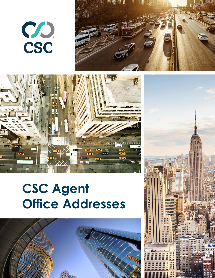# CSC





# **CSC Agent Office Addresses**



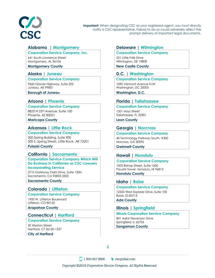

# **Alabama | Montgomery**

#### **Corporation Service Company, Inc.**

641 South Lawrence Street Montgomery, AL 36104

#### **Montgomery County**

#### **Alaska | Juneau**

#### **Corporation Service Company**

9360 Glacier Highway, Suite 202 Juneau, AK 99801

**Borough of Juneau**

#### **Arizona | Phoenix**

#### **Corporation Service Company**

8825 N 23rd Avenue, Suite 100 Phoenix, AZ 85021 **Maricopa County**

#### **Arkansas | Little Rock**

**Corporation Service Company** 300 Spring Building, Suite 900 300 S. Spring Street, Little Rock, AR 72201 **Pulaski County**

#### **California | Sacramento**

# **Corporation Service Company Which Will Do Business in California as CSC-Lawyers Incorporating Service**

2710 Gateway Oaks Drive, Suite 150N Sacramento, CA 95833-3505 **Sacramento County**

# **Colorado | Littleton**

#### **Corporation Service Company** 1900 W. Littleton Boulevard Littleton, CO 80120

**Arapahoe County**

#### **Connecticut | Hartford**

#### **Corporation Service Company**

50 Weston Street Hartford, CT 06120-1537 **City of Hartford** 

# **Delaware | Wilmington**

#### **Corporation Service Company**

251 Little Falls Drive Wilmington, DE 19808

**New Castle County**

# **D.C. | Washington**

#### **Corporation Service Company**

1090 Vermont Avenue N.W. Washington, DC 20005

**Washington, D.C.**

# **Florida | Tallahassee**

#### **Corporation Service Company**

1201 Hays Street Tallahassee, FL 32301

**Leon County**

# **Georgia | Norcross**

#### **Corporation Service Company**

40 Technology Parkway South, #300 Norcross, GA 30092 **Gwinnett County**

# **Hawaii | Honolulu**

#### **Corporation Service Company** 1003 Bishop Street, Suite 1600 Pauahi Tower, Honolulu, HI 96813 **Honolulu County**

# **Idaho | Boise**

**Corporation Service Company** 12550 West Explorer Drive, Suite 100 Boise, ID 83713

**Ada County**

# **Illinois | Springfield**

#### **Illinois Corporation Service Company**

801 Adlai Stevenson Drive Springfield, IL 62703 **Sangamon County**

**2**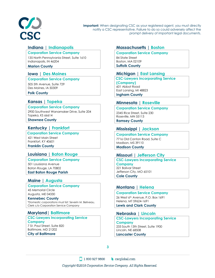

# **Indiana** | **Indianapolis**

#### **Corporation Service Company**

135 North Pennsylvania Street, Suite 1610 Indianapolis, IN 46204

#### **Marion County**

# **Iowa** | **Des Moines**

#### **Corporation Service Company**

505 5th Avenue, Suite 729 Des Moines, IA 50309

#### **Polk County**

# **Kansas | Topeka**

#### **Corporation Service Company**

2900 Southwest Wanamaker Drive, Suite 204 Topeka, KS 66614

**Shawnee County**

# **Kentucky | Frankfort**

**Corporation Service Company**

421 West Main Street Frankfort, KY 40601 **Franklin County**

# **Louisiana | Baton Rouge**

#### **Corporation Service Company**

501 Louisiana Avenue Baton Rouge, LA 70802 **East Baton Rouge Parish** 

#### **Maine | Augusta**

#### **Corporation Service Company**

45 Memorial Circle Augusta, ME 04330

#### **Kennebec County**

\**Domestic corporations must list:* Severin M. Beliveau, Clerk c/o Corporation Service Company

#### **Maryland| Baltimore**

**CSC-Lawyers Incorporating Service Company**  7 St. Paul Street, Suite 820 Baltimore, MD 21202 **City of Baltimore**

# **Massachusetts | Boston**

#### **Corporation Service Company**

84 State Street Boston, MA 02109 **Suffolk County**

# **Michigan | East Lansing**

**CSC-Lawyers Incorporating Service (Company)** 601 Abbot Road East Lansing, MI 48823 **Ingham County**

# **Minnesota | Roseville**

#### **Corporation Service Company** 2345 Rice Street, Suite 230 Roseville, MN 55113

**Ramsey County**

# **Mississippi | Jackson**

#### **Corporation Service Company**

7716 Old Canton Road, Suite C Madison, MS 39110 **Madison County**

# **Missouri | Jefferson City**

#### **CSC-Lawyers Incorporating Service Company** 221 Bolivar Street Jefferson City, MO 65101 **Cole County**

# **Montana | Helena**

# **Corporation Service Company**

26 West 6th Avenue, P.O. Box 1691 Helena, MT 59624-1691 **Lewis and Clark County**

# **Nebraska** | **Lincoln**

#### **CSC-Lawyers Incorporating Service Company** 233 South 13th Street, Suite 1900 Lincoln, NE 68508 **Lancaster County**

**3**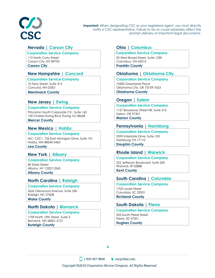

# **Nevada | Carson City**

#### **Corporation Service Company**

112 North Curry Street Carson City, NV 89703 **Carson City**

# **New Hampshire** | **Concord**

#### **Corporation Service Company**

10 Ferry Street, Suite 313 Concord, NH 03301

**Merrimack County**

# **New Jersey | Ewing**

#### **Corporation Service Company**

Princeton South Corporate Ctr., Suite 160 100 Charles Ewing Blvd, Ewing, NJ 08628 **Mercer County**

# **New Mexico** | **Hobbs**

#### **Corporation Service Company**

MC- CSC1, 726 East Michigan Drive, Suite 101 Hobbs, NM 88240-3465 **Lea County**

# **New York | Albany**

# **Corporation Service Company**

80 State Street Albany, NY 12207-2543 **Albany County**

# **North Carolina | Raleigh**

#### **Corporation Service Company**

2626 Glenwood Avenue, Suite 550 Raleigh, NC 27608 **Wake County**

# **North Dakota | Bismarck**

**Corporation Service Company** 1709 North 19th Street, Suite 3 Bismarck, ND 58501-2121 **Burleigh County**

# **Ohio | Columbus**

#### **Corporation Service Company**

50 West Broad Street, Suite 1330 Columbus, OH 43215 **Franklin County**

# **Oklahoma | Oklahoma City**

#### **Corporation Service Company**

10300 Greenbriar Place Oklahoma City, OK 73159-7653 **Oklahoma County**

# **Oregon | Salem**

#### **Corporation Service Company**

1127 Broadway Street NE, Suite 310 Salem, OR 97301 **Marion County**

# **Pennsylvania | Harrisburg**

**Corporation Service Company** 2595 Interstate Drive, Suite 103 Harrisburg, PA 17110 **Dauphin County**

# **Rhode Island | Warwick**

#### **Corporation Service Company** 222 Jefferson Boulevard, Suite 200

Warwick, RI 02888 **Kent County**

# **South Carolina | Columbia**

**Corporation Service Company** 1703 Laurel Street Columbia, SC 29201 **Richland County**

# **South Dakota | Pierre**

#### **Corporation Service Company** 503 South Pierre Street Pierre, SD 57501 **Hughes County**

**4**

1 800 927 9800  $\bullet$  cscglobal.com Copyright ©2018 Corporation Service Company. All Rights Reserved.